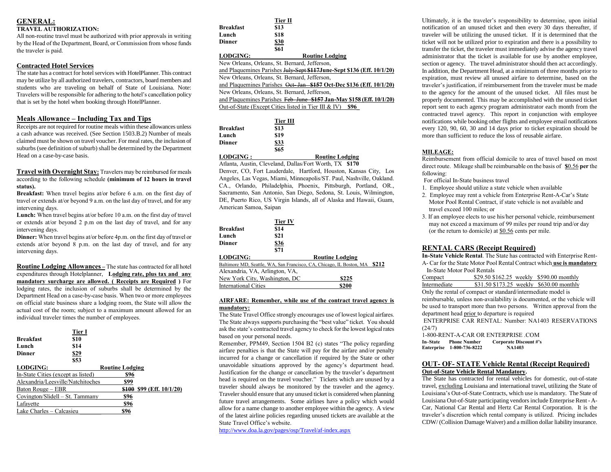# **GENERAL:**

## **TRAVEL AUTHORIZATION:**

All non-routine travel must be authorized with prior approvals in writing by the Head of the Department, Board, or Commission from whose funds the traveler is paid.

## **Contracted Hotel Services**

The state has a contract for hotel services with HotelPlanner. This contract may be utilize by all authorized travelers, contractors, board members and students who are traveling on behalf of State of Louisiana. Note: Travelers will be responsible for adhering to the hotel's cancellation policy that is set by the hotel when booking through HotelPlanner.

## **Meals Allowance – Including Tax and Tips**

Receipts are not required for routine meals within these allowances unless a cash advance was received. (See Section 1503.B.2) Number of meals claimed must be shown on travel voucher. For meal rates, the inclusion of suburbs (see definition of suburb) shall be determined by the Department Head on a case-by-case basis.

**Travel with Overnight Stay:** Travelers may be reimbursed for meals according to the following schedule **(minimum of 12 hours in travel status).**

**Breakfast:** When travel begins at/or before 6 a.m. on the first day of travel or extends at/or beyond 9 a.m. on the last day of travel, and for any intervening days.

Lunch: When travel begins at/or before 10 a.m. on the first day of travel or extends at/or beyond 2 p.m on the last day of travel, and for any intervening days.

**Dinner:** When travel begins at/or before 4p.m. on the first day of travel or extends at/or beyond 8 p.m. on the last day of travel, and for any intervening days.

**Routine Lodging Allowances –** The state has contracted for all hotel expenditures through Hotelplanner, **Lodging rate, plus tax and any mandatory surcharge are allowed. ( Receipts are Required )** For lodging rates, the inclusion of suburbs shall be determined by the Department Head on a case-by-case basis. When two or more employees on official state business share a lodging room, the State will allow the actual cost of the room; subject to a maximum amount allowed for an individual traveler times the number of employees.

| <b>Breakfast</b><br>Lunch<br><b>Dinner</b> | <b>Tier I</b><br>\$10<br>\$14<br>\$29<br>\$53 |                        |                     |
|--------------------------------------------|-----------------------------------------------|------------------------|---------------------|
| <b>LODGING:</b>                            |                                               | <b>Routine Lodging</b> |                     |
| In-State Cities (except as listed)         |                                               | \$96                   |                     |
| Alexandria/Leesville/Natchitoches          |                                               | \$99                   |                     |
| Baton Rouge – EBR                          |                                               | \$100                  | \$99 (Eff. 10/1/20) |
| Covington/Slidell – St. Tammany            |                                               | \$96                   |                     |
| Lafavette                                  |                                               | \$96                   |                     |
| Lake Charles – Calcasieu                   |                                               | \$96                   |                     |

|                 | Tier II     |
|-----------------|-------------|
| Breakfast       | \$13        |
| Lunch           | \$18        |
| Dinner          | <b>\$30</b> |
|                 | \$61        |
| <b>LODGING:</b> |             |

**LODGING: Routine Lodging** New Orleans, Orleans, St. Bernard, Jefferson,

and Plaquemines Parishes July-Sept **\$117June-Sept \$136 (Eff. 10/1/20)** 

New Orleans, Orleans, St. Bernard, Jefferson, and Plaquemines Parishes Oct- Jan **\$157 Oct-Dec \$136 (Eff. 10/1/20)**

New Orleans, Orleans, St. Bernard, Jefferson,

and Plaquemines Parishes Feb-June **\$157 Jan-May \$158 (Eff. 10/1/20)**

Out-of-State (Except Cities listed in Tier III & IV) **\$96\_**

|                  | Tier III |                        |
|------------------|----------|------------------------|
| Breakfast        | \$13     |                        |
| Lunch            | \$19     |                        |
| Dinner           | \$33     |                        |
|                  | \$65     |                        |
| <b>LODGING :</b> |          | <b>Routine Lodging</b> |
|                  |          |                        |

Atlanta, Austin, Cleveland, Dallas/Fort Worth, TX **\$170**

Denver, CO, Fort Lauderdale, Hartford, Houston, Kansas City, Los Angeles, Las Vegas, Miami, Minneapolis/ST. Paul, Nashville, Oakland. CA., Orlando, Philadelphia, Phoenix, Pittsburgh, Portland, OR., Sacramento, San Antonio, San Diego, Sedona, St. Louis, Wilmington, DE, Puerto Rico, US Virgin Islands, all of Alaska and Hawaii, Guam, American Samoa, Saipan

| <b>Breakfast</b><br>Lunch<br>Dinner | <b>Tier IV</b><br>\$14<br>\$21<br>\$36<br>\$71 |                                                                      |       |
|-------------------------------------|------------------------------------------------|----------------------------------------------------------------------|-------|
| <b>LODGING:</b>                     |                                                | <b>Routine Lodging</b>                                               |       |
|                                     |                                                | Baltimore MD, Seattle, WA, San Francisco, CA, Chicago, IL Boston, MA | \$212 |
| Alexandria, VA, Arlington, VA,      |                                                |                                                                      |       |
| New York City, Washington, DC       |                                                | \$225                                                                |       |
| <b>International Cities</b>         |                                                | \$200                                                                |       |

## **AIRFARE: Remember, while use of the contract travel agency is mandatory:**

The State Travel Office strongly encourages use of lowest logical airfares. The State always supports purchasing the "best value" ticket. You should ask the state's contracted travel agency to check for the lowest logical rates based on your personal needs.

Remember, PPM49, Section 1504 B2 (c) states "The policy regarding airfare penalties is that the State will pay for the airfare and/or penalty incurred for a change or cancellation if required by the State or other unavoidable situations approved by the agency's department head. Justification for the change or cancellation by the traveler's department head is required on the travel voucher." Tickets which are unused by a traveler should always be monitored by the traveler and the agency. Traveler should ensure that any unused ticket is considered when planning future travel arrangements. Some airlines have a policy which would allow for a name change to another employee within the agency. A view of the latest airline policies regarding unused tickets are available at the State Travel Office's website.

<http://www.doa.la.gov/pages/osp/Travel/af-index.aspx>

Ultimately, it is the traveler's responsibility to determine, upon initial notification of an unused ticket and then every 30 days thereafter, if traveler will be utilizing the unused ticket. If it is determined that the ticket will not be utilized prior to expiration and there is a possibility to transfer the ticket, the traveler must immediately advise the agency travel administrator that the ticket is available for use by another employee, section or agency. The travel administrator should then act accordingly. In addition, the Department Head, at a minimum of three months prior to expiration, must review all unused airfare to determine, based on the traveler's justification, if reimbursement from the traveler must be made to the agency for the amount of the unused ticket. All files must be properly documented. This may be accomplished with the unused ticket report sent to each agency program administrator each month from the contracted travel agency. This report in conjunction with employee notifications while booking other flights and employee email notifications every 120, 90, 60, 30 and 14 days prior to ticket expiration should be more than sufficient to reduce the loss of reusable airfare.

## **MILEAGE:**

Reimbursement from official domicile to area of travel based on most direct route. Mileage shall be reimbursable on the basis of **\$**0.56 **per** the following:

For official In-State business travel

- 1. Employee should utilize a state vehicle when available
- 2. Employee may rent a vehicle from Enterprise Rent-A-Car's State Motor Pool Rental Contract, if state vehicle is not available and travel exceed 100 miles; or
- 3. If an employee elects to use his/her personal vehicle, reimbursement may not exceed a maximum of 99 miles per round trip and/or day (or the return to domicile) at \$0.56 cents per mile.

## **RENTAL CARS (Receipt Required)**

**In-State Vehicle Rental**. The State has contracted with Enterprise Rent-

A- Car for the State Motor Pool Rental Contract which **use is mandatory** In-State Motor Pool Rentals

Compact \$29.50 \$162.25 weekly \$590.00 monthly Intermediate \$31.50 \$173.25 weekly \$630.00 monthly Only the rental of compact or standard/intermediate model is reimbursable, unless non-availability is documented, or the vehicle will be used to transport more than two persons. Written approval from the department head prior to departure is required ENTERPRISE CAR RENTAL: Number: NA1403 RESERVATIONS

(24/7)

1-800-RENT-A-CAR OR ENTERPRISE .COM<br>In-State Phone Number Corporate Discount #'s **In–State Phone Number • Corporate Discover Enterprise 1-800-736-8222 • NA1403 Enterprise 1-800-736-8222** 

## **OUT- OF- STATE Vehicle Rental (Receipt Required) Out-of-State Vehicle Rental Mandatory.**

The State has contracted for rental vehicles for domestic, out-of-state travel, excluding Louisiana and international travel, utilizing the State of Louisiana's Out-of-State Contracts, which use is mandatory. The State of Louisiana Out-of-State participating vendors include Enterprise Rent - A-Car, National Car Rental and Hertz Car Rental Corporation. It is the traveler's discretion which rental company is utilized. Pricing includes CDW/ (Collision Damage Waiver) and a million dollar liability insurance.